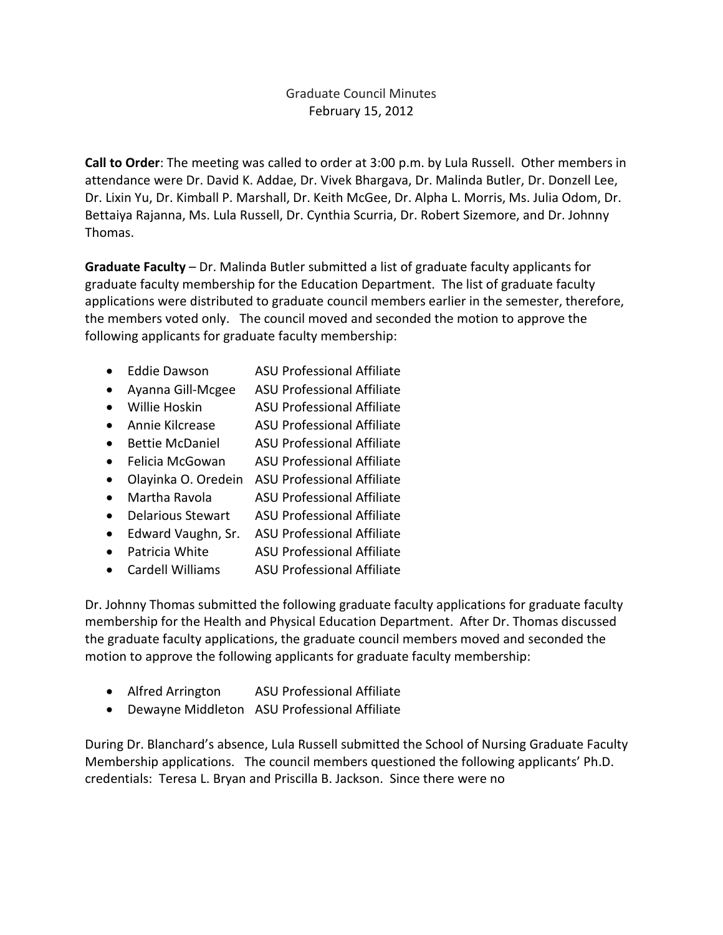## Graduate Council Minutes February 15, 2012

**Call to Order**: The meeting was called to order at 3:00 p.m. by Lula Russell. Other members in attendance were Dr. David K. Addae, Dr. Vivek Bhargava, Dr. Malinda Butler, Dr. Donzell Lee, Dr. Lixin Yu, Dr. Kimball P. Marshall, Dr. Keith McGee, Dr. Alpha L. Morris, Ms. Julia Odom, Dr. Bettaiya Rajanna, Ms. Lula Russell, Dr. Cynthia Scurria, Dr. Robert Sizemore, and Dr. Johnny Thomas.

**Graduate Faculty** – Dr. Malinda Butler submitted a list of graduate faculty applicants for graduate faculty membership for the Education Department. The list of graduate faculty applications were distributed to graduate council members earlier in the semester, therefore, the members voted only. The council moved and seconded the motion to approve the following applicants for graduate faculty membership:

- Eddie Dawson ASU Professional Affiliate
- Ayanna Gill-Mcgee ASU Professional Affiliate
- Willie Hoskin ASU Professional Affiliate
- Annie Kilcrease ASU Professional Affiliate
- Bettie McDaniel ASU Professional Affiliate
- Felicia McGowan ASU Professional Affiliate
- Olayinka O. Oredein ASU Professional Affiliate
- Martha Ravola ASU Professional Affiliate
- Delarious Stewart ASU Professional Affiliate
- Edward Vaughn, Sr. ASU Professional Affiliate
- Patricia White ASU Professional Affiliate
- Cardell Williams ASU Professional Affiliate

Dr. Johnny Thomas submitted the following graduate faculty applications for graduate faculty membership for the Health and Physical Education Department. After Dr. Thomas discussed the graduate faculty applications, the graduate council members moved and seconded the motion to approve the following applicants for graduate faculty membership:

- Alfred Arrington ASU Professional Affiliate
- Dewayne Middleton ASU Professional Affiliate

During Dr. Blanchard's absence, Lula Russell submitted the School of Nursing Graduate Faculty Membership applications. The council members questioned the following applicants' Ph.D. credentials: Teresa L. Bryan and Priscilla B. Jackson. Since there were no